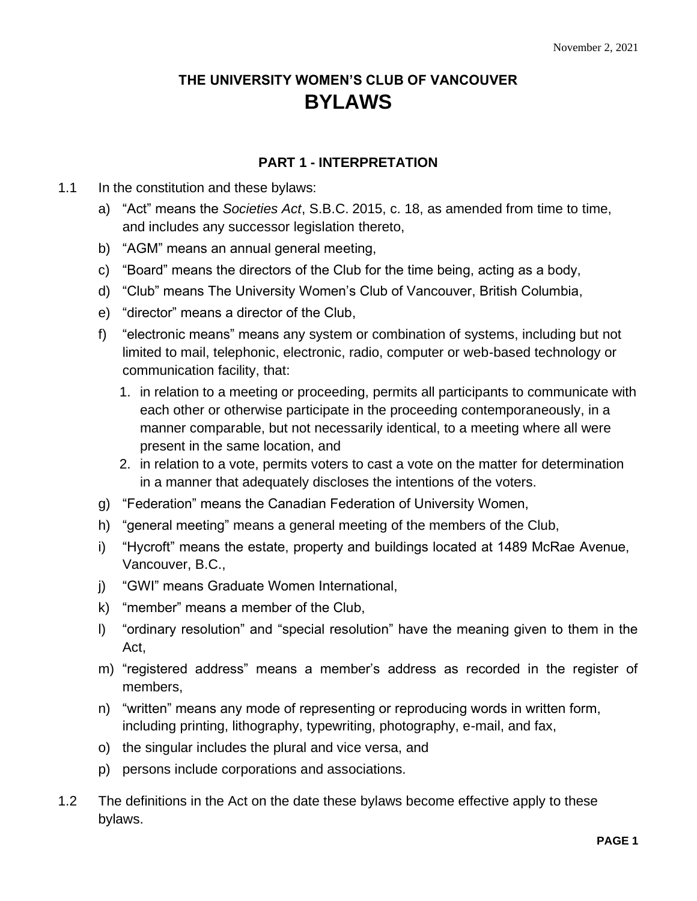# **THE UNIVERSITY WOMEN'S CLUB OF VANCOUVER BYLAWS**

# **PART 1 - INTERPRETATION**

#### 1.1 In the constitution and these bylaws:

- a) "Act" means the *Societies Act*, S.B.C. 2015, c. 18, as amended from time to time, and includes any successor legislation thereto,
- b) "AGM" means an annual general meeting,
- c) "Board" means the directors of the Club for the time being, acting as a body,
- d) "Club" means The University Women's Club of Vancouver, British Columbia,
- e) "director" means a director of the Club,
- f) "electronic means" means any system or combination of systems, including but not limited to mail, telephonic, electronic, radio, computer or web-based technology or communication facility, that:
	- 1. in relation to a meeting or proceeding, permits all participants to communicate with each other or otherwise participate in the proceeding contemporaneously, in a manner comparable, but not necessarily identical, to a meeting where all were present in the same location, and
	- 2. in relation to a vote, permits voters to cast a vote on the matter for determination in a manner that adequately discloses the intentions of the voters.
- g) "Federation" means the Canadian Federation of University Women,
- h) "general meeting" means a general meeting of the members of the Club,
- i) "Hycroft" means the estate, property and buildings located at 1489 McRae Avenue, Vancouver, B.C.,
- j) "GWI" means Graduate Women International,
- k) "member" means a member of the Club,
- l) "ordinary resolution" and "special resolution" have the meaning given to them in the Act,
- m) "registered address" means a member's address as recorded in the register of members,
- n) "written" means any mode of representing or reproducing words in written form, including printing, lithography, typewriting, photography, e-mail, and fax,
- o) the singular includes the plural and vice versa, and
- p) persons include corporations and associations.
- 1.2 The definitions in the Act on the date these bylaws become effective apply to these bylaws.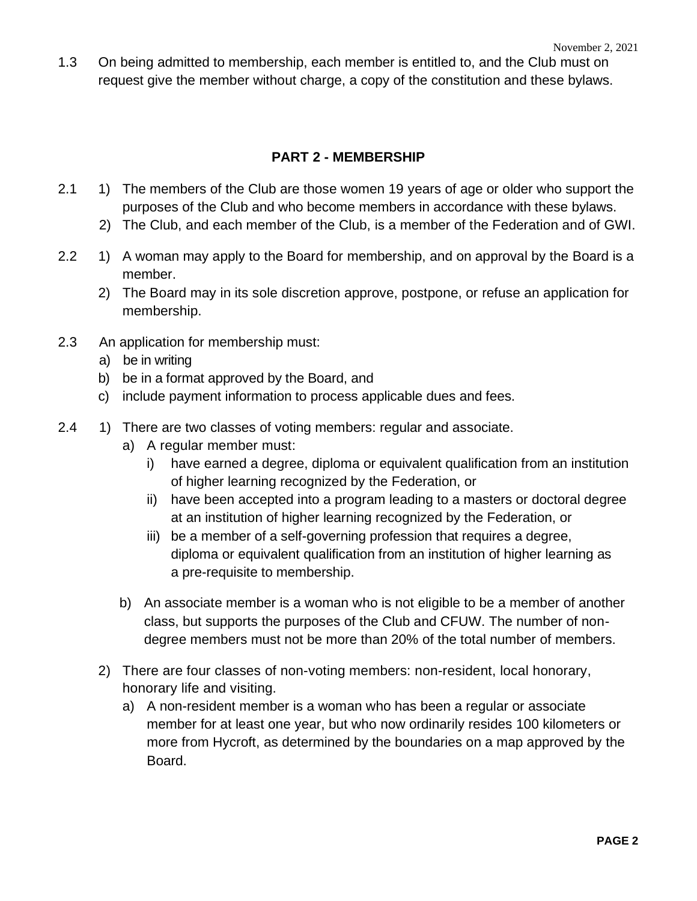1.3 On being admitted to membership, each member is entitled to, and the Club must on request give the member without charge, a copy of the constitution and these bylaws.

#### **PART 2 - MEMBERSHIP**

- 2.1 1) The members of the Club are those women 19 years of age or older who support the purposes of the Club and who become members in accordance with these bylaws.
	- 2) The Club, and each member of the Club, is a member of the Federation and of GWI.
- 2.2 1) A woman may apply to the Board for membership, and on approval by the Board is a member.
	- 2) The Board may in its sole discretion approve, postpone, or refuse an application for membership.
- 2.3 An application for membership must:
	- a) be in writing
	- b) be in a format approved by the Board, and
	- c) include payment information to process applicable dues and fees.
- 2.4 1) There are two classes of voting members: regular and associate.
	- a) A regular member must:
		- i) have earned a degree, diploma or equivalent qualification from an institution of higher learning recognized by the Federation, or
		- ii) have been accepted into a program leading to a masters or doctoral degree at an institution of higher learning recognized by the Federation, or
		- iii) be a member of a self-governing profession that requires a degree, diploma or equivalent qualification from an institution of higher learning as a pre-requisite to membership.
	- b) An associate member is a woman who is not eligible to be a member of another class, but supports the purposes of the Club and CFUW. The number of nondegree members must not be more than 20% of the total number of members.
	- 2) There are four classes of non-voting members: non-resident, local honorary, honorary life and visiting.
		- a) A non-resident member is a woman who has been a regular or associate member for at least one year, but who now ordinarily resides 100 kilometers or more from Hycroft, as determined by the boundaries on a map approved by the Board.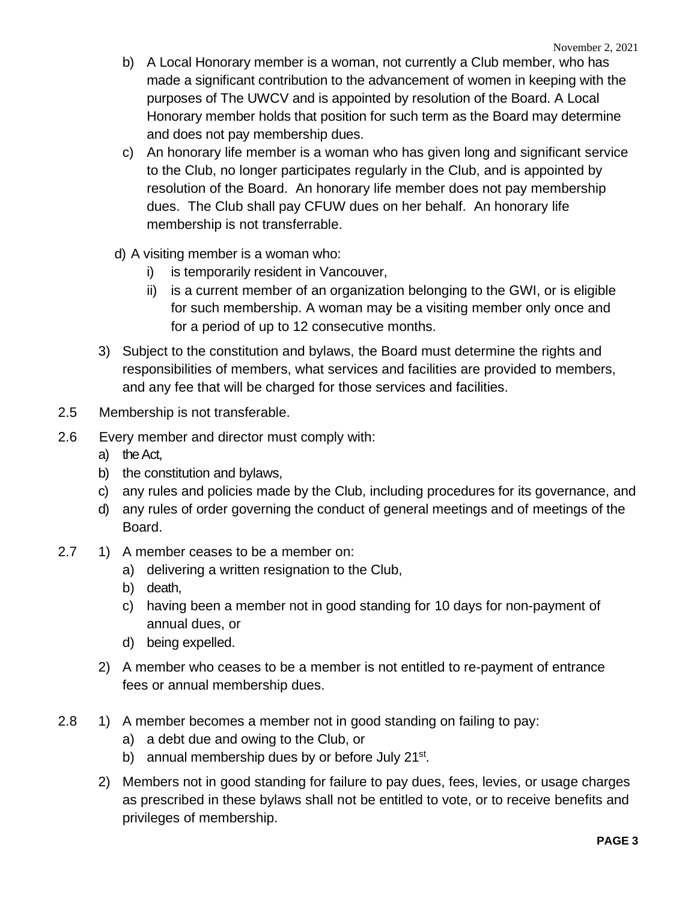- b) A Local Honorary member is a woman, not currently a Club member, who has made a significant contribution to the advancement of women in keeping with the purposes of The UWCV and is appointed by resolution of the Board. A Local Honorary member holds that position for such term as the Board may determine and does not pay membership dues.
- c) An honorary life member is a woman who has given long and significant service to the Club, no longer participates regularly in the Club, and is appointed by resolution of the Board. An honorary life member does not pay membership dues. The Club shall pay CFUW dues on her behalf. An honorary life membership is not transferrable.
- d) A visiting member is a woman who:
	- i) is temporarily resident in Vancouver,
	- ii) is a current member of an organization belonging to the GWI, or is eligible for such membership. A woman may be a visiting member only once and for a period of up to 12 consecutive months.
- 3) Subject to the constitution and bylaws, the Board must determine the rights and responsibilities of members, what services and facilities are provided to members, and any fee that will be charged for those services and facilities.
- 2.5 Membership is not transferable.
- 2.6 Every member and director must comply with:
	- a) the Act,
	- b) the constitution and bylaws,
	- c) any rules and policies made by the Club, including procedures for its governance, and
	- d) any rules of order governing the conduct of general meetings and of meetings of the Board.
- 2.7 1) A member ceases to be a member on:
	- a) delivering a written resignation to the Club,
	- b) death,
	- c) having been a member not in good standing for 10 days for non-payment of annual dues, or
	- d) being expelled.
	- 2) A member who ceases to be a member is not entitled to re-payment of entrance fees or annual membership dues.
- 2.8 1) A member becomes a member not in good standing on failing to pay:
	- a) a debt due and owing to the Club, or
	- b) annual membership dues by or before July 21<sup>st</sup>.
	- 2) Members not in good standing for failure to pay dues, fees, levies, or usage charges as prescribed in these bylaws shall not be entitled to vote, or to receive benefits and privileges of membership.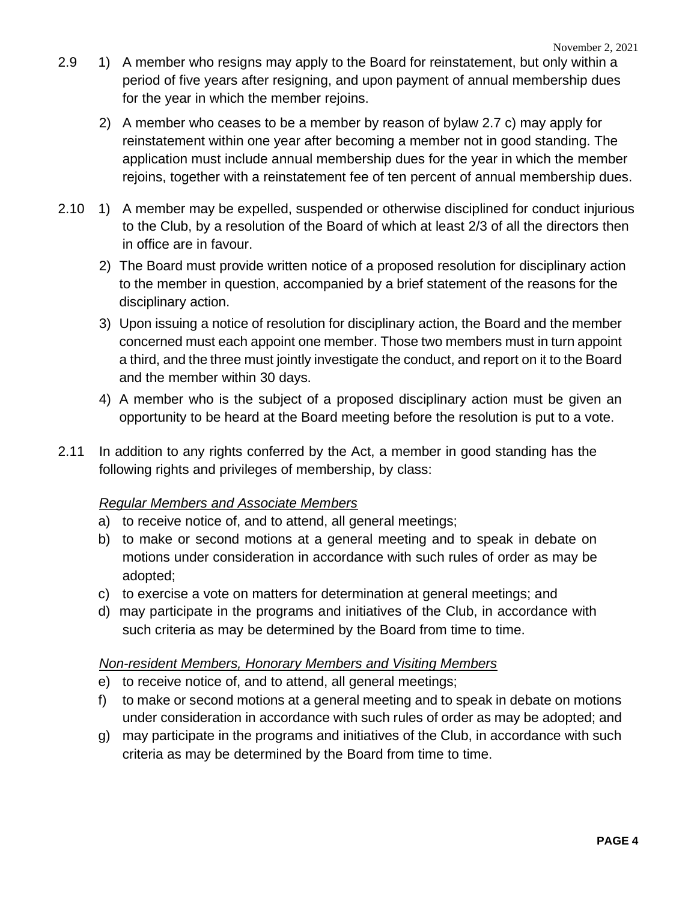- 2.9 1) A member who resigns may apply to the Board for reinstatement, but only within a period of five years after resigning, and upon payment of annual membership dues for the year in which the member rejoins.
	- 2) A member who ceases to be a member by reason of bylaw 2.7 c) may apply for reinstatement within one year after becoming a member not in good standing. The application must include annual membership dues for the year in which the member rejoins, together with a reinstatement fee of ten percent of annual membership dues.
- 2.10 1) A member may be expelled, suspended or otherwise disciplined for conduct injurious to the Club, by a resolution of the Board of which at least 2/3 of all the directors then in office are in favour.
	- 2) The Board must provide written notice of a proposed resolution for disciplinary action to the member in question, accompanied by a brief statement of the reasons for the disciplinary action.
	- 3) Upon issuing a notice of resolution for disciplinary action, the Board and the member concerned must each appoint one member. Those two members must in turn appoint a third, and the three must jointly investigate the conduct, and report on it to the Board and the member within 30 days.
	- 4) A member who is the subject of a proposed disciplinary action must be given an opportunity to be heard at the Board meeting before the resolution is put to a vote.
- 2.11 In addition to any rights conferred by the Act, a member in good standing has the following rights and privileges of membership, by class:

# *Regular Members and Associate Members*

- a) to receive notice of, and to attend, all general meetings;
- b) to make or second motions at a general meeting and to speak in debate on motions under consideration in accordance with such rules of order as may be adopted;
- c) to exercise a vote on matters for determination at general meetings; and
- d) may participate in the programs and initiatives of the Club, in accordance with such criteria as may be determined by the Board from time to time.

#### *Non-resident Members, Honorary Members and Visiting Members*

- e) to receive notice of, and to attend, all general meetings;
- f) to make or second motions at a general meeting and to speak in debate on motions under consideration in accordance with such rules of order as may be adopted; and
- g) may participate in the programs and initiatives of the Club, in accordance with such criteria as may be determined by the Board from time to time.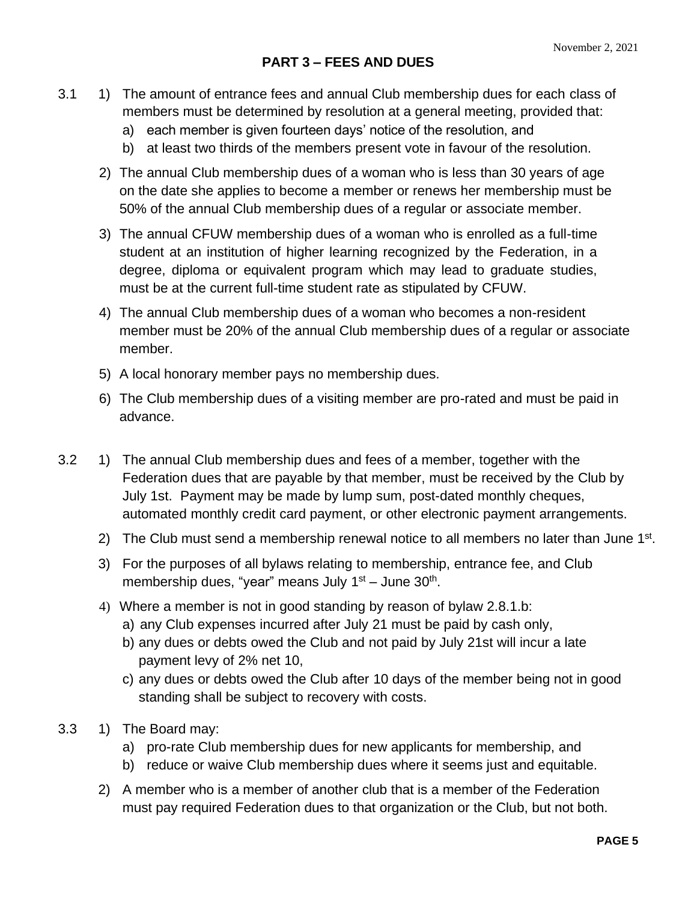- 3.1 1) The amount of entrance fees and annual Club membership dues for each class of members must be determined by resolution at a general meeting, provided that:
	- a) each member is given fourteen days' notice of the resolution, and
	- b) at least two thirds of the members present vote in favour of the resolution.
	- 2) The annual Club membership dues of a woman who is less than 30 years of age on the date she applies to become a member or renews her membership must be 50% of the annual Club membership dues of a regular or associate member.
	- 3) The annual CFUW membership dues of a woman who is enrolled as a full-time student at an institution of higher learning recognized by the Federation, in a degree, diploma or equivalent program which may lead to graduate studies, must be at the current full-time student rate as stipulated by CFUW.
	- 4) The annual Club membership dues of a woman who becomes a non-resident member must be 20% of the annual Club membership dues of a regular or associate member.
	- 5) A local honorary member pays no membership dues.
	- 6) The Club membership dues of a visiting member are pro-rated and must be paid in advance.
- 3.2 1) The annual Club membership dues and fees of a member, together with the Federation dues that are payable by that member, must be received by the Club by July 1st. Payment may be made by lump sum, post-dated monthly cheques, automated monthly credit card payment, or other electronic payment arrangements.
	- 2) The Club must send a membership renewal notice to all members no later than June  $1<sup>st</sup>$ .
	- 3) For the purposes of all bylaws relating to membership, entrance fee, and Club membership dues, "year" means July 1<sup>st</sup> – June 30<sup>th</sup>.
	- 4) Where a member is not in good standing by reason of bylaw 2.8.1.b:
		- a) any Club expenses incurred after July 21 must be paid by cash only,
		- b) any dues or debts owed the Club and not paid by July 21st will incur a late payment levy of 2% net 10,
		- c) any dues or debts owed the Club after 10 days of the member being not in good standing shall be subject to recovery with costs.
- 3.3 1) The Board may:
	- a) pro-rate Club membership dues for new applicants for membership, and
	- b) reduce or waive Club membership dues where it seems just and equitable.
	- 2) A member who is a member of another club that is a member of the Federation must pay required Federation dues to that organization or the Club, but not both.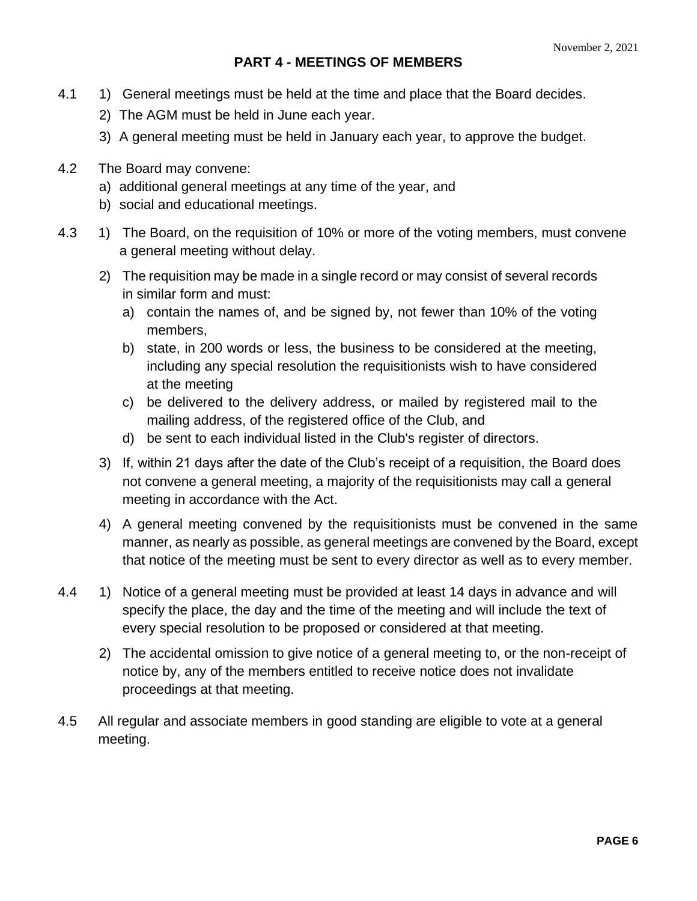# **PART 4 - MEETINGS OF MEMBERS**

- 4.1 1) General meetings must be held at the time and place that the Board decides.
	- 2) The AGM must be held in June each year.
	- 3) A general meeting must be held in January each year, to approve the budget.
- 4.2 The Board may convene:
	- a) additional general meetings at any time of the year, and
	- b) social and educational meetings.
- 4.3 1) The Board, on the requisition of 10% or more of the voting members, must convene a general meeting without delay.
	- 2) The requisition may be made in a single record or may consist of several records in similar form and must:
		- a) contain the names of, and be signed by, not fewer than 10% of the voting members,
		- b) state, in 200 words or less, the business to be considered at the meeting, including any special resolution the requisitionists wish to have considered at the meeting
		- c) be delivered to the delivery address, or mailed by registered mail to the mailing address, of the registered office of the Club, and
		- d) be sent to each individual listed in the Club's register of directors.
	- 3) If, within 21 days after the date of the Club's receipt of a requisition, the Board does not convene a general meeting, a majority of the requisitionists may call a general meeting in accordance with the Act.
	- 4) A general meeting convened by the requisitionists must be convened in the same manner, as nearly as possible, as general meetings are convened by the Board, except that notice of the meeting must be sent to every director as well as to every member.
- 4.4 1) Notice of a general meeting must be provided at least 14 days in advance and will specify the place, the day and the time of the meeting and will include the text of every special resolution to be proposed or considered at that meeting.
	- 2) The accidental omission to give notice of a general meeting to, or the non-receipt of notice by, any of the members entitled to receive notice does not invalidate proceedings at that meeting.
- 4.5 All regular and associate members in good standing are eligible to vote at a general meeting.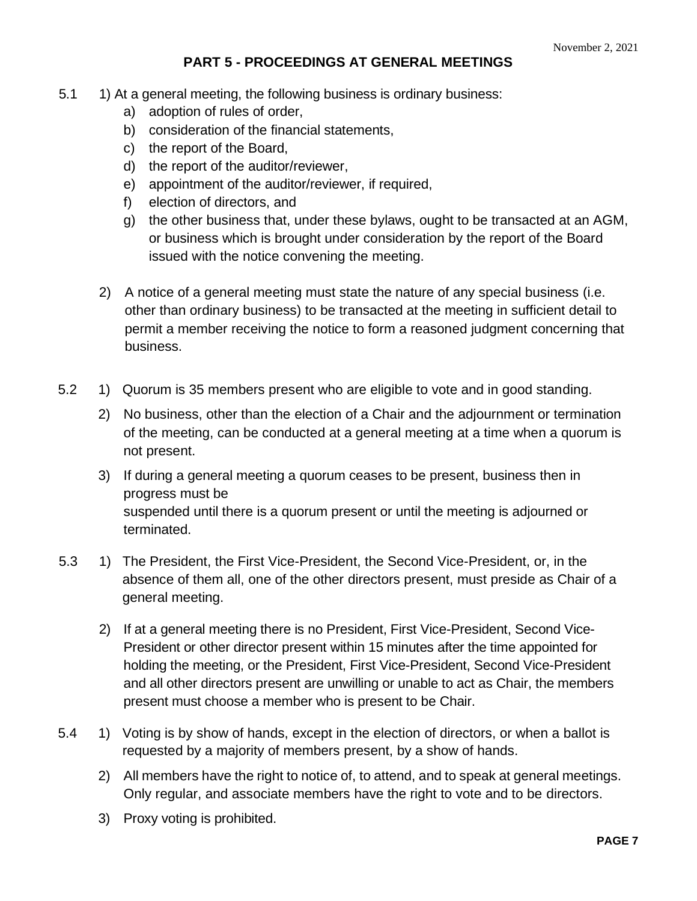# **PART 5 - PROCEEDINGS AT GENERAL MEETINGS**

- 5.1 1) At a general meeting, the following business is ordinary business:
	- a) adoption of rules of order,
	- b) consideration of the financial statements,
	- c) the report of the Board,
	- d) the report of the auditor/reviewer,
	- e) appointment of the auditor/reviewer, if required,
	- f) election of directors, and
	- g) the other business that, under these bylaws, ought to be transacted at an AGM, or business which is brought under consideration by the report of the Board issued with the notice convening the meeting.
	- 2) A notice of a general meeting must state the nature of any special business (i.e. other than ordinary business) to be transacted at the meeting in sufficient detail to permit a member receiving the notice to form a reasoned judgment concerning that business.
- 5.2 1) Quorum is 35 members present who are eligible to vote and in good standing.
	- 2) No business, other than the election of a Chair and the adjournment or termination of the meeting, can be conducted at a general meeting at a time when a quorum is not present.
	- 3) If during a general meeting a quorum ceases to be present, business then in progress must be suspended until there is a quorum present or until the meeting is adjourned or terminated.
- 5.3 1) The President, the First Vice-President, the Second Vice-President, or, in the absence of them all, one of the other directors present, must preside as Chair of a general meeting.
	- 2) If at a general meeting there is no President, First Vice-President, Second Vice-President or other director present within 15 minutes after the time appointed for holding the meeting, or the President, First Vice-President, Second Vice-President and all other directors present are unwilling or unable to act as Chair, the members present must choose a member who is present to be Chair.
- 5.4 1) Voting is by show of hands, except in the election of directors, or when a ballot is requested by a majority of members present, by a show of hands.
	- 2) All members have the right to notice of, to attend, and to speak at general meetings. Only regular, and associate members have the right to vote and to be directors.
	- 3) Proxy voting is prohibited.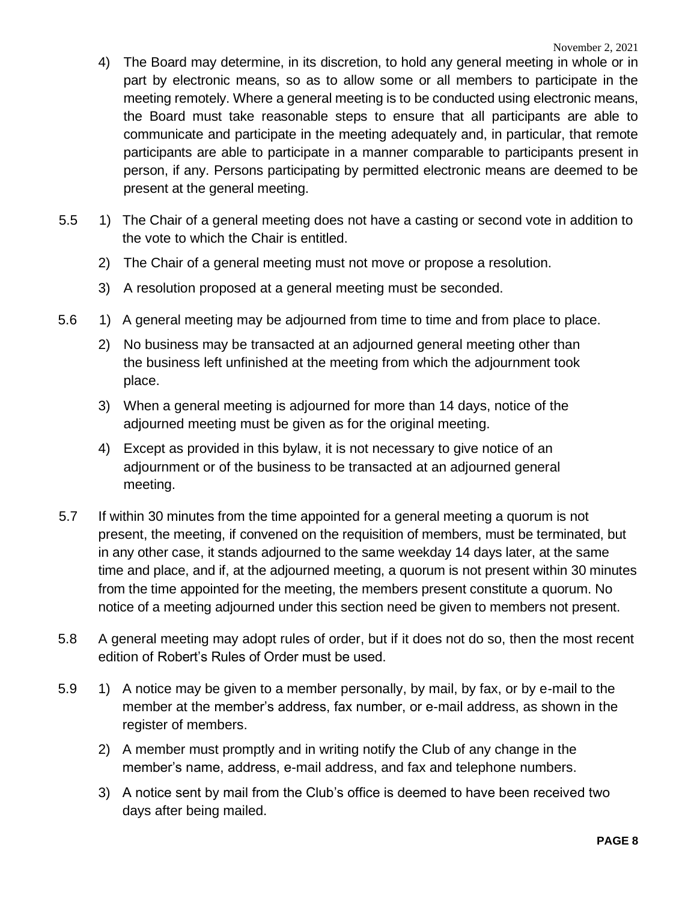- 4) The Board may determine, in its discretion, to hold any general meeting in whole or in part by electronic means, so as to allow some or all members to participate in the meeting remotely. Where a general meeting is to be conducted using electronic means, the Board must take reasonable steps to ensure that all participants are able to communicate and participate in the meeting adequately and, in particular, that remote participants are able to participate in a manner comparable to participants present in person, if any. Persons participating by permitted electronic means are deemed to be present at the general meeting.
- 5.5 1) The Chair of a general meeting does not have a casting or second vote in addition to the vote to which the Chair is entitled.
	- 2) The Chair of a general meeting must not move or propose a resolution.
	- 3) A resolution proposed at a general meeting must be seconded.
- 5.6 1) A general meeting may be adjourned from time to time and from place to place.
	- 2) No business may be transacted at an adjourned general meeting other than the business left unfinished at the meeting from which the adjournment took place.
	- 3) When a general meeting is adjourned for more than 14 days, notice of the adjourned meeting must be given as for the original meeting.
	- 4) Except as provided in this bylaw, it is not necessary to give notice of an adjournment or of the business to be transacted at an adjourned general meeting.
- 5.7 If within 30 minutes from the time appointed for a general meeting a quorum is not present, the meeting, if convened on the requisition of members, must be terminated, but in any other case, it stands adjourned to the same weekday 14 days later, at the same time and place, and if, at the adjourned meeting, a quorum is not present within 30 minutes from the time appointed for the meeting, the members present constitute a quorum. No notice of a meeting adjourned under this section need be given to members not present.
- 5.8 A general meeting may adopt rules of order, but if it does not do so, then the most recent edition of Robert's Rules of Order must be used.
- 5.9 1) A notice may be given to a member personally, by mail, by fax, or by e-mail to the member at the member's address, fax number, or e-mail address, as shown in the register of members.
	- 2) A member must promptly and in writing notify the Club of any change in the member's name, address, e-mail address, and fax and telephone numbers.
	- 3) A notice sent by mail from the Club's office is deemed to have been received two days after being mailed.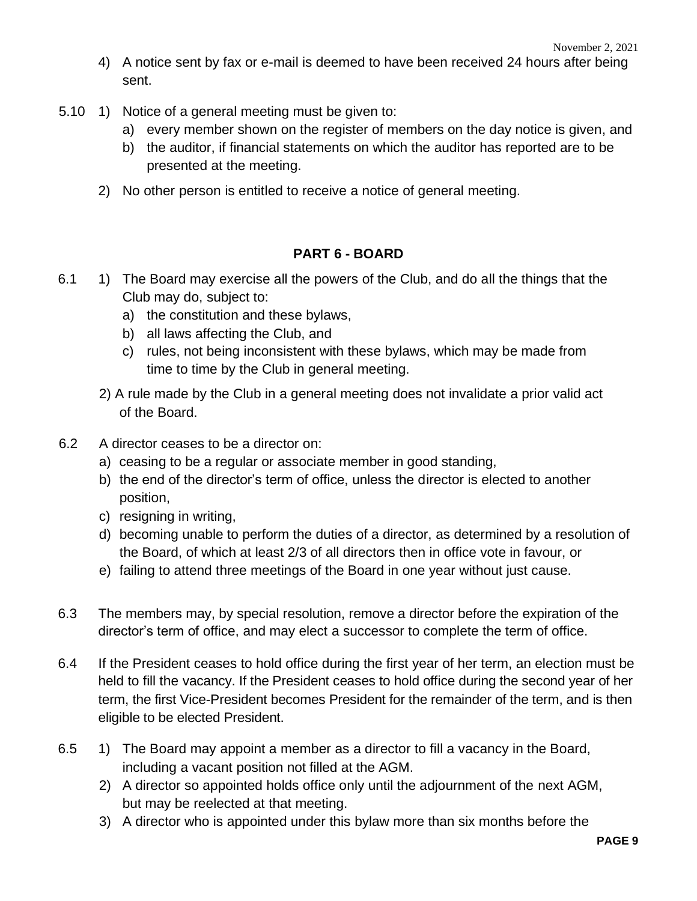- 4) A notice sent by fax or e-mail is deemed to have been received 24 hours after being sent.
- 5.10 1) Notice of a general meeting must be given to:
	- a) every member shown on the register of members on the day notice is given, and
	- b) the auditor, if financial statements on which the auditor has reported are to be presented at the meeting.
	- 2) No other person is entitled to receive a notice of general meeting.

#### **PART 6 - BOARD**

- 6.1 1) The Board may exercise all the powers of the Club, and do all the things that the Club may do, subject to:
	- a) the constitution and these bylaws,
	- b) all laws affecting the Club, and
	- c) rules, not being inconsistent with these bylaws, which may be made from time to time by the Club in general meeting.
	- 2) A rule made by the Club in a general meeting does not invalidate a prior valid act of the Board.
- 6.2 A director ceases to be a director on:
	- a) ceasing to be a regular or associate member in good standing,
	- b) the end of the director's term of office, unless the director is elected to another position,
	- c) resigning in writing,
	- d) becoming unable to perform the duties of a director, as determined by a resolution of the Board, of which at least 2/3 of all directors then in office vote in favour, or
	- e) failing to attend three meetings of the Board in one year without just cause.
- 6.3 The members may, by special resolution, remove a director before the expiration of the director's term of office, and may elect a successor to complete the term of office.
- 6.4 If the President ceases to hold office during the first year of her term, an election must be held to fill the vacancy. If the President ceases to hold office during the second year of her term, the first Vice-President becomes President for the remainder of the term, and is then eligible to be elected President.
- 6.5 1) The Board may appoint a member as a director to fill a vacancy in the Board, including a vacant position not filled at the AGM.
	- 2) A director so appointed holds office only until the adjournment of the next AGM, but may be reelected at that meeting.
	- 3) A director who is appointed under this bylaw more than six months before the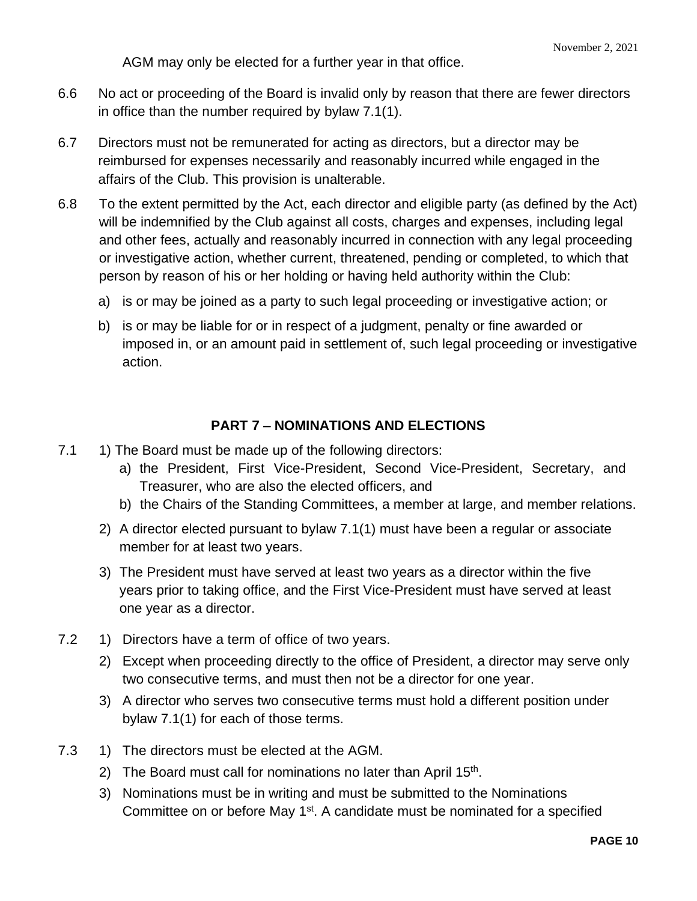AGM may only be elected for a further year in that office.

- 6.6 No act or proceeding of the Board is invalid only by reason that there are fewer directors in office than the number required by bylaw 7.1(1).
- 6.7 Directors must not be remunerated for acting as directors, but a director may be reimbursed for expenses necessarily and reasonably incurred while engaged in the affairs of the Club. This provision is unalterable.
- 6.8 To the extent permitted by the Act, each director and eligible party (as defined by the Act) will be indemnified by the Club against all costs, charges and expenses, including legal and other fees, actually and reasonably incurred in connection with any legal proceeding or investigative action, whether current, threatened, pending or completed, to which that person by reason of his or her holding or having held authority within the Club:
	- a) is or may be joined as a party to such legal proceeding or investigative action; or
	- b) is or may be liable for or in respect of a judgment, penalty or fine awarded or imposed in, or an amount paid in settlement of, such legal proceeding or investigative action.

#### **PART 7 – NOMINATIONS AND ELECTIONS**

- 7.1 1) The Board must be made up of the following directors:
	- a) the President, First Vice-President, Second Vice-President, Secretary, and Treasurer, who are also the elected officers, and
	- b) the Chairs of the Standing Committees, a member at large, and member relations.
	- 2) A director elected pursuant to bylaw 7.1(1) must have been a regular or associate member for at least two years.
	- 3) The President must have served at least two years as a director within the five years prior to taking office, and the First Vice-President must have served at least one year as a director.
- 7.2 1) Directors have a term of office of two years.
	- 2) Except when proceeding directly to the office of President, a director may serve only two consecutive terms, and must then not be a director for one year.
	- 3) A director who serves two consecutive terms must hold a different position under bylaw 7.1(1) for each of those terms.
- 7.3 1) The directors must be elected at the AGM.
	- 2) The Board must call for nominations no later than April 15<sup>th</sup>.
	- 3) Nominations must be in writing and must be submitted to the Nominations Committee on or before May  $1<sup>st</sup>$ . A candidate must be nominated for a specified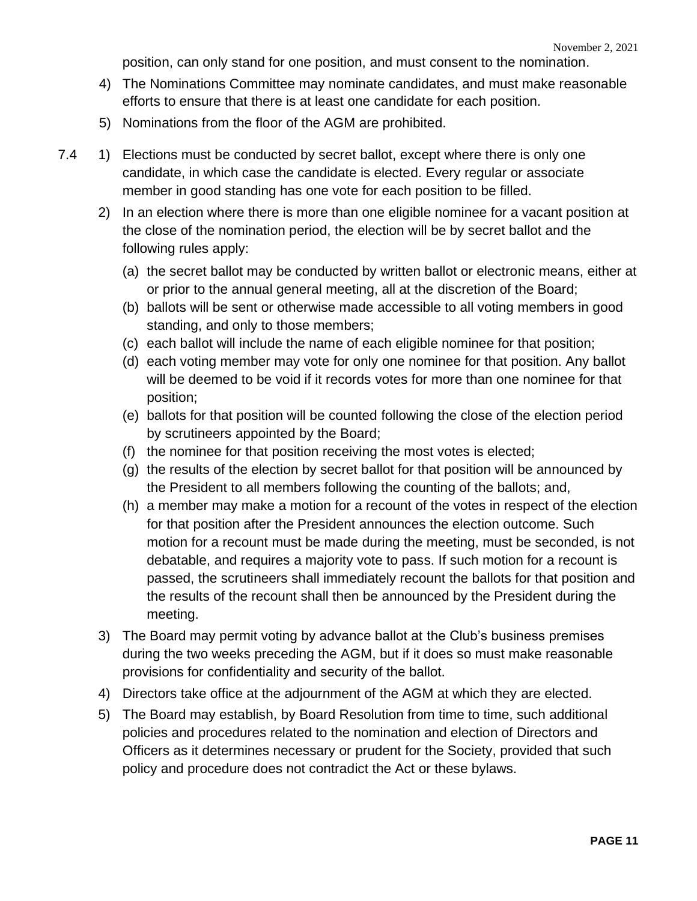position, can only stand for one position, and must consent to the nomination.

- 4) The Nominations Committee may nominate candidates, and must make reasonable efforts to ensure that there is at least one candidate for each position.
- 5) Nominations from the floor of the AGM are prohibited.
- 7.4 1) Elections must be conducted by secret ballot, except where there is only one candidate, in which case the candidate is elected. Every regular or associate member in good standing has one vote for each position to be filled.
	- 2) In an election where there is more than one eligible nominee for a vacant position at the close of the nomination period, the election will be by secret ballot and the following rules apply:
		- (a) the secret ballot may be conducted by written ballot or electronic means, either at or prior to the annual general meeting, all at the discretion of the Board;
		- (b) ballots will be sent or otherwise made accessible to all voting members in good standing, and only to those members;
		- (c) each ballot will include the name of each eligible nominee for that position;
		- (d) each voting member may vote for only one nominee for that position. Any ballot will be deemed to be void if it records votes for more than one nominee for that position;
		- (e) ballots for that position will be counted following the close of the election period by scrutineers appointed by the Board;
		- (f) the nominee for that position receiving the most votes is elected;
		- (g) the results of the election by secret ballot for that position will be announced by the President to all members following the counting of the ballots; and,
		- (h) a member may make a motion for a recount of the votes in respect of the election for that position after the President announces the election outcome. Such motion for a recount must be made during the meeting, must be seconded, is not debatable, and requires a majority vote to pass. If such motion for a recount is passed, the scrutineers shall immediately recount the ballots for that position and the results of the recount shall then be announced by the President during the meeting.
	- 3) The Board may permit voting by advance ballot at the Club's business premises during the two weeks preceding the AGM, but if it does so must make reasonable provisions for confidentiality and security of the ballot.
	- 4) Directors take office at the adjournment of the AGM at which they are elected.
	- 5) The Board may establish, by Board Resolution from time to time, such additional policies and procedures related to the nomination and election of Directors and Officers as it determines necessary or prudent for the Society, provided that such policy and procedure does not contradict the Act or these bylaws.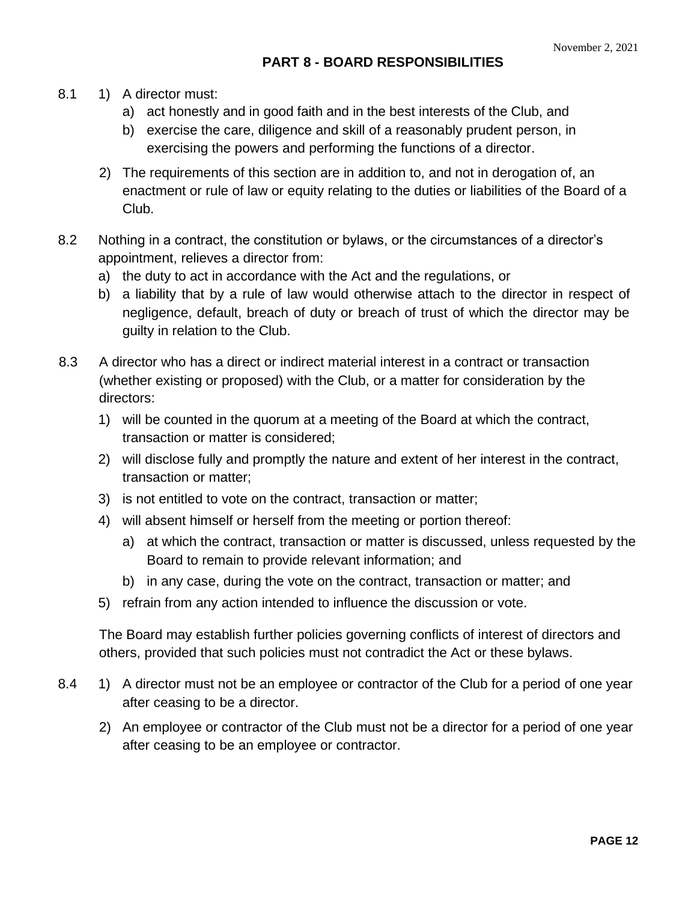- 8.1 1) A director must:
	- a) act honestly and in good faith and in the best interests of the Club, and
	- b) exercise the care, diligence and skill of a reasonably prudent person, in exercising the powers and performing the functions of a director.
	- 2) The requirements of this section are in addition to, and not in derogation of, an enactment or rule of law or equity relating to the duties or liabilities of the Board of a Club.
- 8.2 Nothing in a contract, the constitution or bylaws, or the circumstances of a director's appointment, relieves a director from:
	- a) the duty to act in accordance with the Act and the regulations, or
	- b) a liability that by a rule of law would otherwise attach to the director in respect of negligence, default, breach of duty or breach of trust of which the director may be guilty in relation to the Club.
- 8.3 A director who has a direct or indirect material interest in a contract or transaction (whether existing or proposed) with the Club, or a matter for consideration by the directors:
	- 1) will be counted in the quorum at a meeting of the Board at which the contract, transaction or matter is considered;
	- 2) will disclose fully and promptly the nature and extent of her interest in the contract, transaction or matter;
	- 3) is not entitled to vote on the contract, transaction or matter;
	- 4) will absent himself or herself from the meeting or portion thereof:
		- a) at which the contract, transaction or matter is discussed, unless requested by the Board to remain to provide relevant information; and
		- b) in any case, during the vote on the contract, transaction or matter; and
	- 5) refrain from any action intended to influence the discussion or vote.

The Board may establish further policies governing conflicts of interest of directors and others, provided that such policies must not contradict the Act or these bylaws.

- 8.4 1) A director must not be an employee or contractor of the Club for a period of one year after ceasing to be a director.
	- 2) An employee or contractor of the Club must not be a director for a period of one year after ceasing to be an employee or contractor.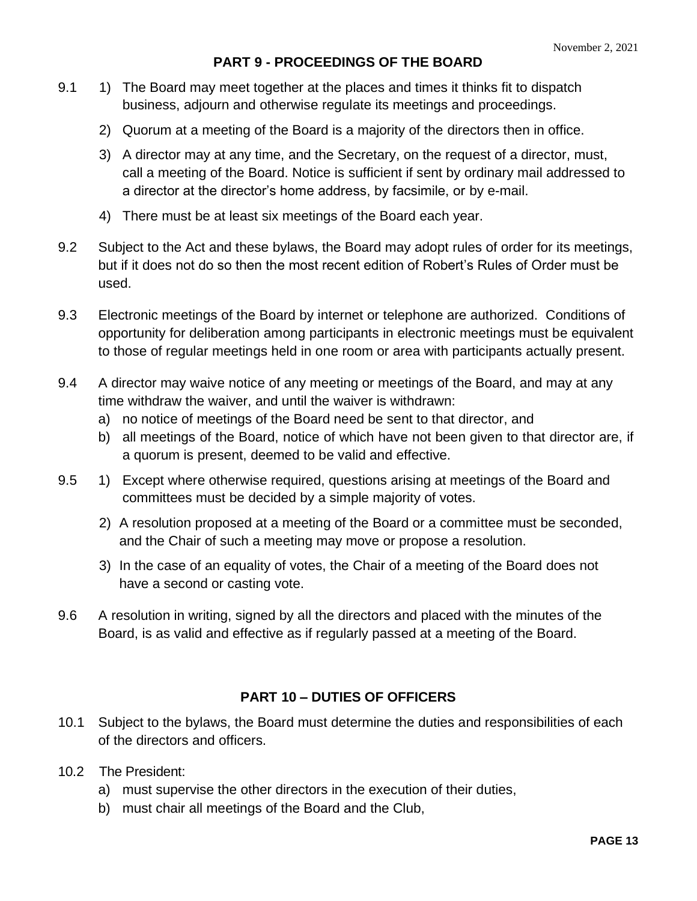# **PART 9 - PROCEEDINGS OF THE BOARD**

- 9.1 1) The Board may meet together at the places and times it thinks fit to dispatch business, adjourn and otherwise regulate its meetings and proceedings.
	- 2) Quorum at a meeting of the Board is a majority of the directors then in office.
	- 3) A director may at any time, and the Secretary, on the request of a director, must, call a meeting of the Board. Notice is sufficient if sent by ordinary mail addressed to a director at the director's home address, by facsimile, or by e-mail.
	- 4) There must be at least six meetings of the Board each year.
- 9.2 Subject to the Act and these bylaws, the Board may adopt rules of order for its meetings, but if it does not do so then the most recent edition of Robert's Rules of Order must be used.
- 9.3 Electronic meetings of the Board by internet or telephone are authorized. Conditions of opportunity for deliberation among participants in electronic meetings must be equivalent to those of regular meetings held in one room or area with participants actually present.
- 9.4 A director may waive notice of any meeting or meetings of the Board, and may at any time withdraw the waiver, and until the waiver is withdrawn:
	- a) no notice of meetings of the Board need be sent to that director, and
	- b) all meetings of the Board, notice of which have not been given to that director are, if a quorum is present, deemed to be valid and effective.
- 9.5 1) Except where otherwise required, questions arising at meetings of the Board and committees must be decided by a simple majority of votes.
	- 2) A resolution proposed at a meeting of the Board or a committee must be seconded, and the Chair of such a meeting may move or propose a resolution.
	- 3) In the case of an equality of votes, the Chair of a meeting of the Board does not have a second or casting vote.
- 9.6 A resolution in writing, signed by all the directors and placed with the minutes of the Board, is as valid and effective as if regularly passed at a meeting of the Board.

# **PART 10 – DUTIES OF OFFICERS**

- 10.1 Subject to the bylaws, the Board must determine the duties and responsibilities of each of the directors and officers.
- 10.2 The President:
	- a) must supervise the other directors in the execution of their duties,
	- b) must chair all meetings of the Board and the Club,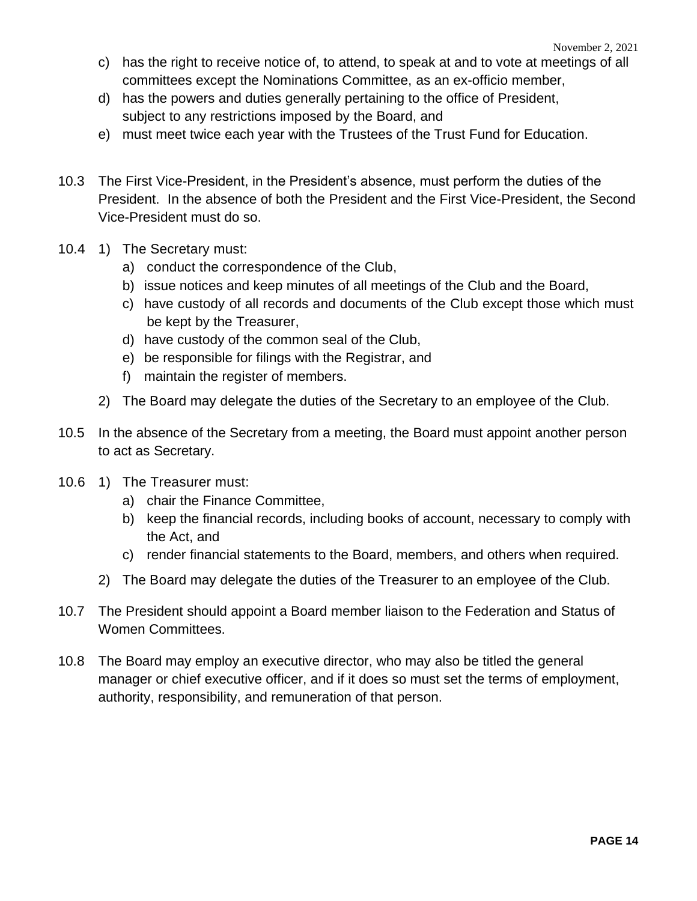- c) has the right to receive notice of, to attend, to speak at and to vote at meetings of all committees except the Nominations Committee, as an ex-officio member,
- d) has the powers and duties generally pertaining to the office of President, subject to any restrictions imposed by the Board, and
- e) must meet twice each year with the Trustees of the Trust Fund for Education.
- 10.3 The First Vice-President, in the President's absence, must perform the duties of the President. In the absence of both the President and the First Vice-President, the Second Vice-President must do so.
- 10.4 1) The Secretary must:
	- a) conduct the correspondence of the Club,
	- b) issue notices and keep minutes of all meetings of the Club and the Board,
	- c) have custody of all records and documents of the Club except those which must be kept by the Treasurer,
	- d) have custody of the common seal of the Club,
	- e) be responsible for filings with the Registrar, and
	- f) maintain the register of members.
	- 2) The Board may delegate the duties of the Secretary to an employee of the Club.
- 10.5 In the absence of the Secretary from a meeting, the Board must appoint another person to act as Secretary.
- 10.6 1) The Treasurer must:
	- a) chair the Finance Committee,
	- b) keep the financial records, including books of account, necessary to comply with the Act, and
	- c) render financial statements to the Board, members, and others when required.
	- 2) The Board may delegate the duties of the Treasurer to an employee of the Club.
- 10.7 The President should appoint a Board member liaison to the Federation and Status of Women Committees.
- 10.8 The Board may employ an executive director, who may also be titled the general manager or chief executive officer, and if it does so must set the terms of employment, authority, responsibility, and remuneration of that person.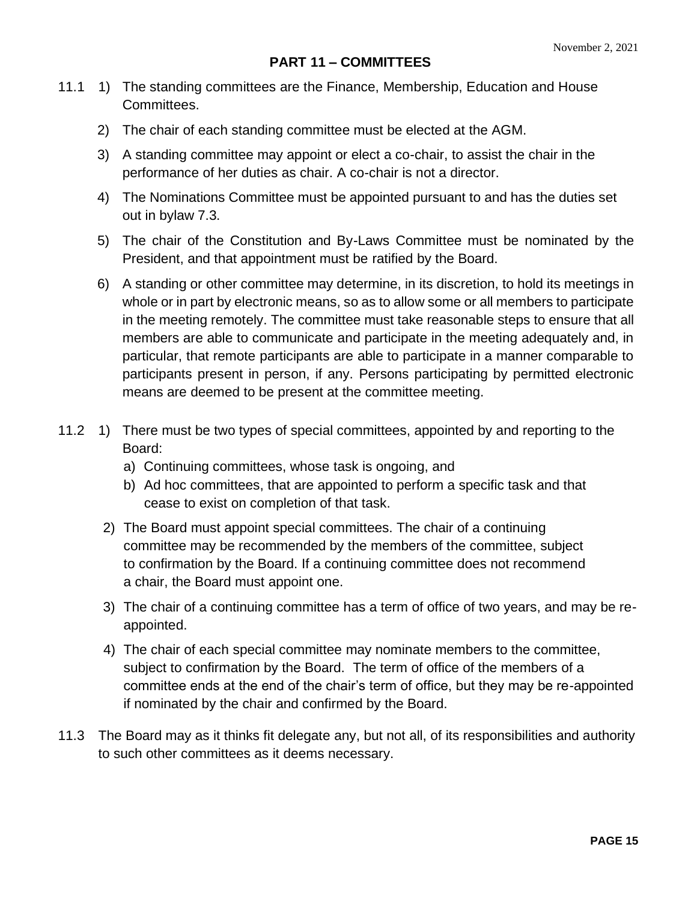- 11.1 1) The standing committees are the Finance, Membership, Education and House Committees.
	- 2) The chair of each standing committee must be elected at the AGM.
	- 3) A standing committee may appoint or elect a co-chair, to assist the chair in the performance of her duties as chair. A co-chair is not a director.
	- 4) The Nominations Committee must be appointed pursuant to and has the duties set out in bylaw 7.3.
	- 5) The chair of the Constitution and By-Laws Committee must be nominated by the President, and that appointment must be ratified by the Board.
	- 6) A standing or other committee may determine, in its discretion, to hold its meetings in whole or in part by electronic means, so as to allow some or all members to participate in the meeting remotely. The committee must take reasonable steps to ensure that all members are able to communicate and participate in the meeting adequately and, in particular, that remote participants are able to participate in a manner comparable to participants present in person, if any. Persons participating by permitted electronic means are deemed to be present at the committee meeting.
- 11.2 1) There must be two types of special committees, appointed by and reporting to the Board:
	- a) Continuing committees, whose task is ongoing, and
	- b) Ad hoc committees, that are appointed to perform a specific task and that cease to exist on completion of that task.
	- 2) The Board must appoint special committees. The chair of a continuing committee may be recommended by the members of the committee, subject to confirmation by the Board. If a continuing committee does not recommend a chair, the Board must appoint one.
	- 3) The chair of a continuing committee has a term of office of two years, and may be reappointed.
	- 4) The chair of each special committee may nominate members to the committee, subject to confirmation by the Board. The term of office of the members of a committee ends at the end of the chair's term of office, but they may be re-appointed if nominated by the chair and confirmed by the Board.
- 11.3 The Board may as it thinks fit delegate any, but not all, of its responsibilities and authority to such other committees as it deems necessary.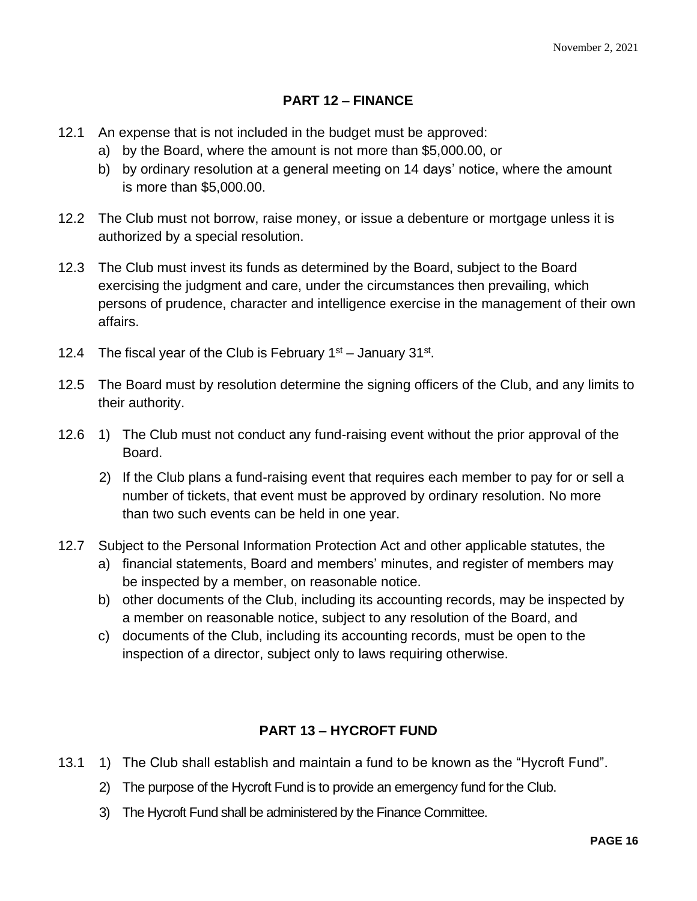# **PART 12 – FINANCE**

- 12.1 An expense that is not included in the budget must be approved:
	- a) by the Board, where the amount is not more than \$5,000.00, or
	- b) by ordinary resolution at a general meeting on 14 days' notice, where the amount is more than \$5,000.00.
- 12.2 The Club must not borrow, raise money, or issue a debenture or mortgage unless it is authorized by a special resolution.
- 12.3 The Club must invest its funds as determined by the Board, subject to the Board exercising the judgment and care, under the circumstances then prevailing, which persons of prudence, character and intelligence exercise in the management of their own affairs.
- 12.4 The fiscal year of the Club is February  $1<sup>st</sup>$  January 31 $<sup>st</sup>$ .</sup>
- 12.5 The Board must by resolution determine the signing officers of the Club, and any limits to their authority.
- 12.6 1) The Club must not conduct any fund-raising event without the prior approval of the Board.
	- 2) If the Club plans a fund-raising event that requires each member to pay for or sell a number of tickets, that event must be approved by ordinary resolution. No more than two such events can be held in one year.
- 12.7 Subject to the Personal Information Protection Act and other applicable statutes, the
	- a) financial statements, Board and members' minutes, and register of members may be inspected by a member, on reasonable notice.
	- b) other documents of the Club, including its accounting records, may be inspected by a member on reasonable notice, subject to any resolution of the Board, and
	- c) documents of the Club, including its accounting records, must be open to the inspection of a director, subject only to laws requiring otherwise.

# **PART 13 – HYCROFT FUND**

- 13.1 1) The Club shall establish and maintain a fund to be known as the "Hycroft Fund".
	- 2) The purpose of the Hycroft Fund is to provide an emergency fund for the Club.
	- 3) The Hycroft Fund shall be administered by the Finance Committee.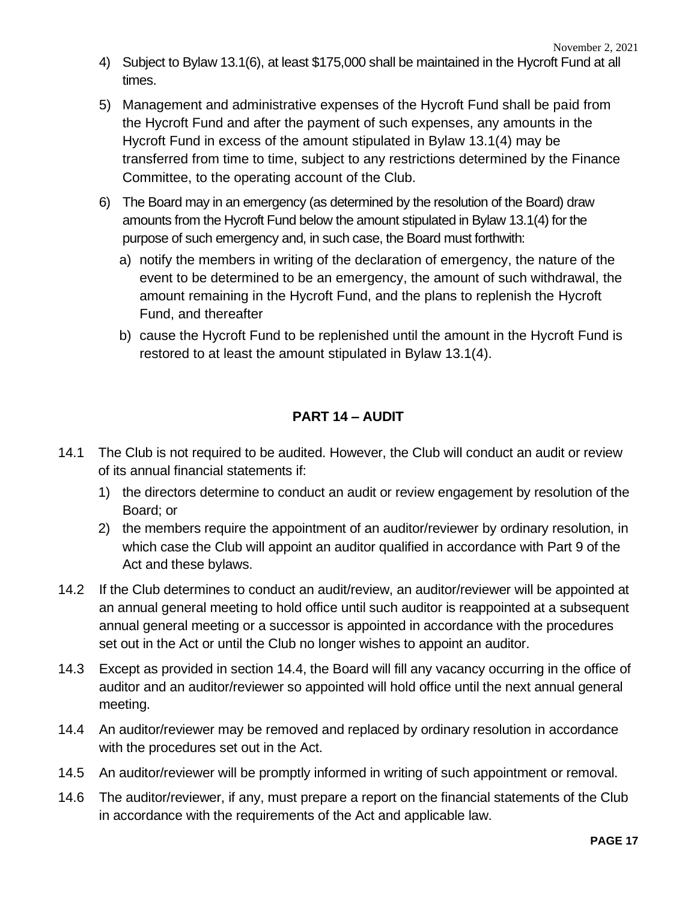- 4) Subject to Bylaw 13.1(6), at least \$175,000 shall be maintained in the Hycroft Fund at all times.
- 5) Management and administrative expenses of the Hycroft Fund shall be paid from the Hycroft Fund and after the payment of such expenses, any amounts in the Hycroft Fund in excess of the amount stipulated in Bylaw 13.1(4) may be transferred from time to time, subject to any restrictions determined by the Finance Committee, to the operating account of the Club.
- 6) The Board may in an emergency (as determined by the resolution of the Board) draw amounts from the Hycroft Fund below the amount stipulated in Bylaw 13.1(4) for the purpose of such emergency and, in such case, the Board must forthwith:
	- a) notify the members in writing of the declaration of emergency, the nature of the event to be determined to be an emergency, the amount of such withdrawal, the amount remaining in the Hycroft Fund, and the plans to replenish the Hycroft Fund, and thereafter
	- b) cause the Hycroft Fund to be replenished until the amount in the Hycroft Fund is restored to at least the amount stipulated in Bylaw 13.1(4).

# **PART 14 – AUDIT**

- 14.1 The Club is not required to be audited. However, the Club will conduct an audit or review of its annual financial statements if:
	- 1) the directors determine to conduct an audit or review engagement by resolution of the Board; or
	- 2) the members require the appointment of an auditor/reviewer by ordinary resolution, in which case the Club will appoint an auditor qualified in accordance with Part 9 of the Act and these bylaws.
- 14.2 If the Club determines to conduct an audit/review, an auditor/reviewer will be appointed at an annual general meeting to hold office until such auditor is reappointed at a subsequent annual general meeting or a successor is appointed in accordance with the procedures set out in the Act or until the Club no longer wishes to appoint an auditor.
- 14.3 Except as provided in section 14.4, the Board will fill any vacancy occurring in the office of auditor and an auditor/reviewer so appointed will hold office until the next annual general meeting.
- 14.4 An auditor/reviewer may be removed and replaced by ordinary resolution in accordance with the procedures set out in the Act.
- 14.5 An auditor/reviewer will be promptly informed in writing of such appointment or removal.
- 14.6 The auditor/reviewer, if any, must prepare a report on the financial statements of the Club in accordance with the requirements of the Act and applicable law.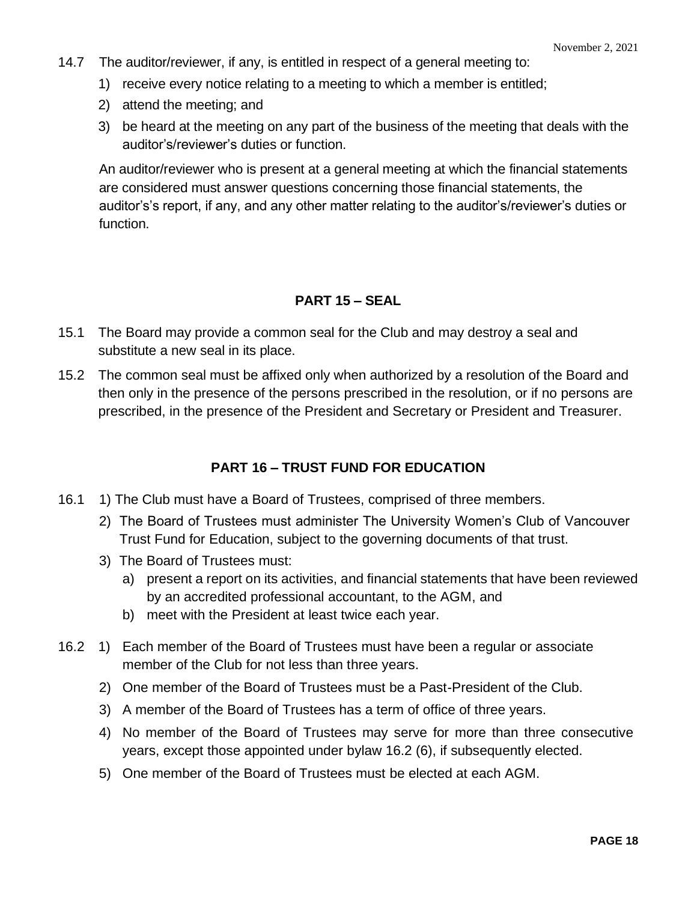- 14.7 The auditor/reviewer, if any, is entitled in respect of a general meeting to:
	- 1) receive every notice relating to a meeting to which a member is entitled;
	- 2) attend the meeting; and
	- 3) be heard at the meeting on any part of the business of the meeting that deals with the auditor's/reviewer's duties or function.

An auditor/reviewer who is present at a general meeting at which the financial statements are considered must answer questions concerning those financial statements, the auditor's's report, if any, and any other matter relating to the auditor's/reviewer's duties or function.

# **PART 15 – SEAL**

- 15.1 The Board may provide a common seal for the Club and may destroy a seal and substitute a new seal in its place.
- 15.2 The common seal must be affixed only when authorized by a resolution of the Board and then only in the presence of the persons prescribed in the resolution, or if no persons are prescribed, in the presence of the President and Secretary or President and Treasurer.

# **PART 16 – TRUST FUND FOR EDUCATION**

- 16.1 1) The Club must have a Board of Trustees, comprised of three members.
	- 2) The Board of Trustees must administer The University Women's Club of Vancouver Trust Fund for Education, subject to the governing documents of that trust.
	- 3) The Board of Trustees must:
		- a) present a report on its activities, and financial statements that have been reviewed by an accredited professional accountant, to the AGM, and
		- b) meet with the President at least twice each year.
- 16.2 1) Each member of the Board of Trustees must have been a regular or associate member of the Club for not less than three years.
	- 2) One member of the Board of Trustees must be a Past-President of the Club.
	- 3) A member of the Board of Trustees has a term of office of three years.
	- 4) No member of the Board of Trustees may serve for more than three consecutive years, except those appointed under bylaw 16.2 (6), if subsequently elected.
	- 5) One member of the Board of Trustees must be elected at each AGM.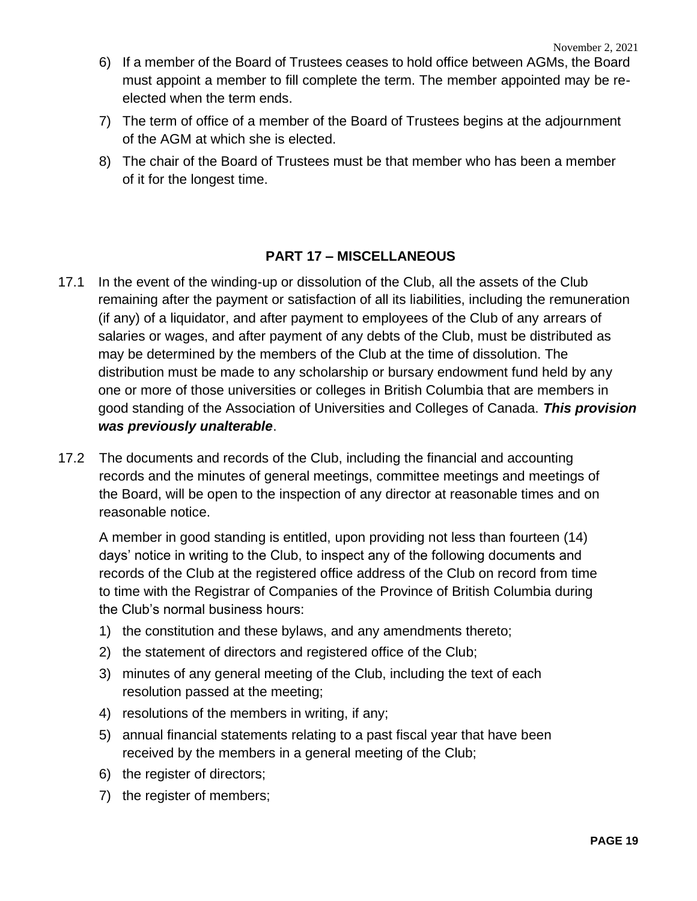- 6) If a member of the Board of Trustees ceases to hold office between AGMs, the Board must appoint a member to fill complete the term. The member appointed may be reelected when the term ends.
- 7) The term of office of a member of the Board of Trustees begins at the adjournment of the AGM at which she is elected.
- 8) The chair of the Board of Trustees must be that member who has been a member of it for the longest time.

# **PART 17 – MISCELLANEOUS**

- 17.1 In the event of the winding-up or dissolution of the Club, all the assets of the Club remaining after the payment or satisfaction of all its liabilities, including the remuneration (if any) of a liquidator, and after payment to employees of the Club of any arrears of salaries or wages, and after payment of any debts of the Club, must be distributed as may be determined by the members of the Club at the time of dissolution. The distribution must be made to any scholarship or bursary endowment fund held by any one or more of those universities or colleges in British Columbia that are members in good standing of the Association of Universities and Colleges of Canada. *This provision was previously unalterable*.
- 17.2 The documents and records of the Club, including the financial and accounting records and the minutes of general meetings, committee meetings and meetings of the Board, will be open to the inspection of any director at reasonable times and on reasonable notice.

A member in good standing is entitled, upon providing not less than fourteen (14) days' notice in writing to the Club, to inspect any of the following documents and records of the Club at the registered office address of the Club on record from time to time with the Registrar of Companies of the Province of British Columbia during the Club's normal business hours:

- 1) the constitution and these bylaws, and any amendments thereto;
- 2) the statement of directors and registered office of the Club;
- 3) minutes of any general meeting of the Club, including the text of each resolution passed at the meeting;
- 4) resolutions of the members in writing, if any;
- 5) annual financial statements relating to a past fiscal year that have been received by the members in a general meeting of the Club;
- 6) the register of directors;
- 7) the register of members;